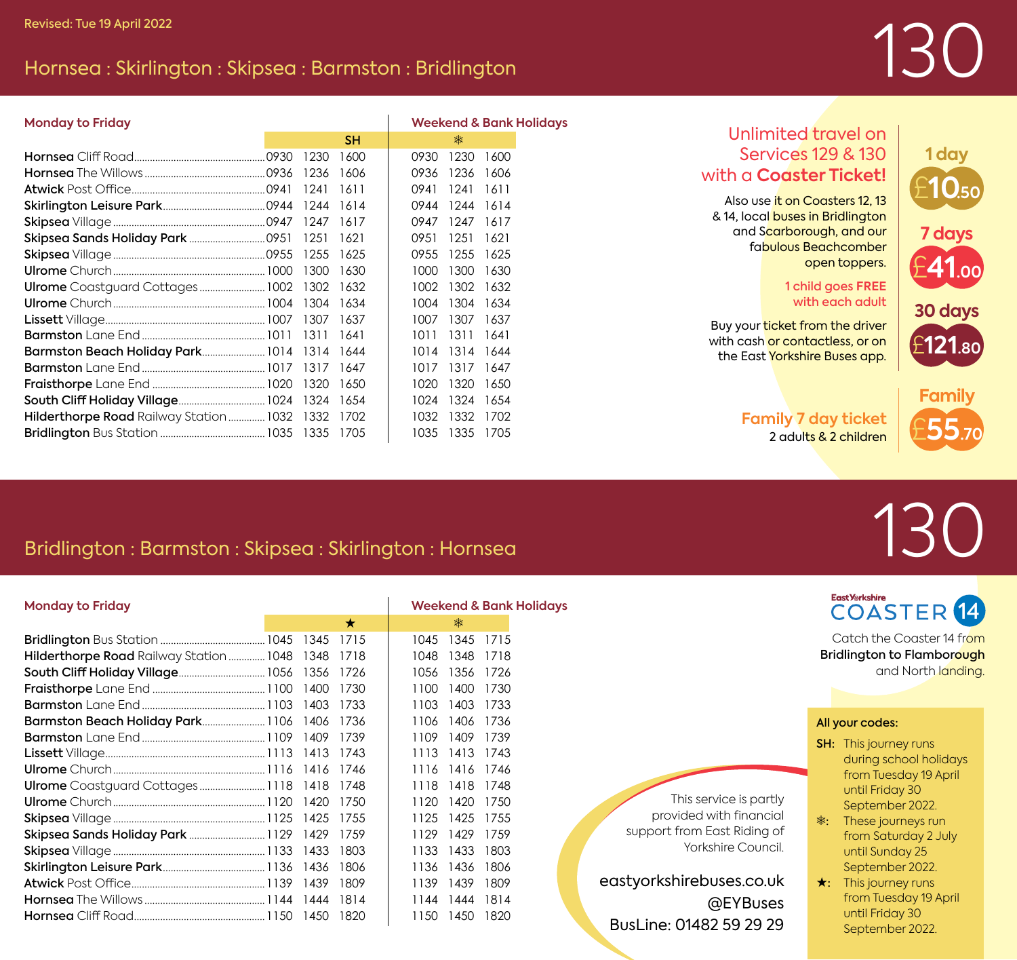### Hornsea : Skirlington : Skipsea : Barmston : Bridlington

# 130

£**10.50**

£**41.00**

**30 days**

£**121.80**

**7 days**

**1 day**

| <b>Monday to Friday</b>                           |      |           |      |                |      | <b>Weekend &amp; Bank Holidays</b> |  |
|---------------------------------------------------|------|-----------|------|----------------|------|------------------------------------|--|
|                                                   |      | <b>SH</b> |      | 素              |      |                                    |  |
|                                                   | 1230 | 1600      | 0930 | 1230           | 1600 |                                    |  |
|                                                   | 1236 | 1606      | 0936 | 1236           | 1606 |                                    |  |
|                                                   | 1241 | 1611      | 0941 | 1241           | 1611 |                                    |  |
|                                                   | 1244 | 1614      | 0944 | 1244 1614      |      |                                    |  |
|                                                   |      | 1617      | 0947 | 1247           | 1617 |                                    |  |
|                                                   | 1251 | 1621      | 0951 | 1251           | 1621 |                                    |  |
|                                                   |      |           | 0955 | 1255           | 1625 |                                    |  |
|                                                   | 1300 | 1630      | 1000 | 1300           | 1630 |                                    |  |
| Ulrome Coastguard Cottages 1002 1302 1632         |      |           | 1002 | 1302 1632      |      |                                    |  |
|                                                   |      | 1634      | 1004 | 1304           | 1634 |                                    |  |
|                                                   |      |           | 1007 | 1307           | 1637 |                                    |  |
|                                                   |      | 1641      | 1011 | 1311           | 1641 |                                    |  |
| Barmston Beach Holiday Park 1014 1314 1644        |      |           |      | 1014 1314 1644 |      |                                    |  |
|                                                   |      |           | 1017 | 1317 1647      |      |                                    |  |
|                                                   |      |           | 1020 | 1320           | 1650 |                                    |  |
|                                                   |      |           | 1024 | 1324 1654      |      |                                    |  |
| Hilderthorpe Road Railway Station  1032 1332 1702 |      |           | 1032 | 1332 1702      |      |                                    |  |
|                                                   |      |           | 1035 | 1335 1705      |      |                                    |  |

#### Unlimited travel on Services 129 & 130 with a **Coaster Ticket!**

Also use it on Coasters 12, 13 & 14, local buses in Bridlington and Scarborough, and our fabulous Beachcomber open toppers.

#### 1 child goes **FREE** with each adult

Buy your ticket from the driver with cash or contactless, or on the East Yorkshire Buses app.

> **Family 7 day ticket** 2 adults & 2 children £**55.70 Family**

# 130

## Bridlington : Barmston : Skipsea : Skirlington : Hornsea

| <b>Monday to Friday</b>                      |      |         | <b>Weekend &amp; Bank Holidays</b> |               |
|----------------------------------------------|------|---------|------------------------------------|---------------|
|                                              |      | $\star$ | 素                                  |               |
|                                              |      |         | 1045                               | 1345<br>1715  |
| Hilderthorpe Road Railway Station 1048 1348  |      | 1718    | 1048                               | 1348<br>1718  |
| <b>South Cliff Holiday Village 1056 1356</b> |      | 1726    | 1056                               | 1356<br>1726  |
|                                              |      | 1730    | 1100                               | 1400<br>1730  |
|                                              |      | 1733    | 1103                               | 1403<br>1733  |
| Barmston Beach Holiday Park 1106 1406        |      | 1736    | 1106                               | 1406<br>1736  |
|                                              |      | 1739    | 1109                               | 1409<br>1739  |
|                                              |      | 1743    | 1113                               | 1413<br>1743  |
|                                              |      | 1746    | 1116                               | 1746<br>1416  |
| Ulrome Coastguard Cottages 1118 1418         |      | 1748    | 1118                               | 1418<br>1748  |
|                                              | 1420 | 17.50   | 1120                               | 1420<br>17.50 |
|                                              |      | 1755    | 1125                               | 1425<br>1755  |
|                                              |      | 1759    | 1129                               | 1429<br>1759  |
|                                              |      | 1803    | 1133                               | 1433<br>1803  |
|                                              |      | 1806    | 1136                               | 1436<br>1806  |
|                                              |      | 1809    | 1139                               | 1439<br>1809  |
|                                              |      | 1814    | 1144                               | 1444<br>1814  |
|                                              |      | 1820    | 1150<br>1450                       | 1820          |

East *Y*tkshire **COASTER** 14 Catch the Coaster 14 from Bridlington to Flamborough and North landing

All your codes:

- SH: This journey runs during school holidays from Tuesday 19 April until Friday 30 September 2022.
- e: These journeys run from Saturday 2 July until Sunday 25 September 2022.
- $\star$ : This journey runs from Tuesday 19 April until Friday 30 September 2022.

This service is partly provided with financial support from East Riding of Yorkshire Council.

eastyorkshirebuses.co.uk @EYBuses BusLine: 01482 59 29 29